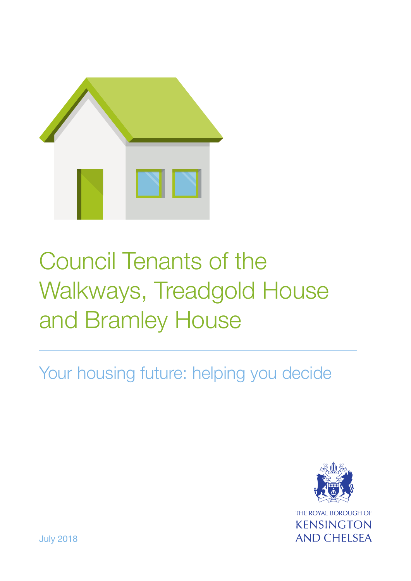

# Council Tenants of the Walkways, Treadgold House and Bramley House

Your housing future: helping you decide



July 2018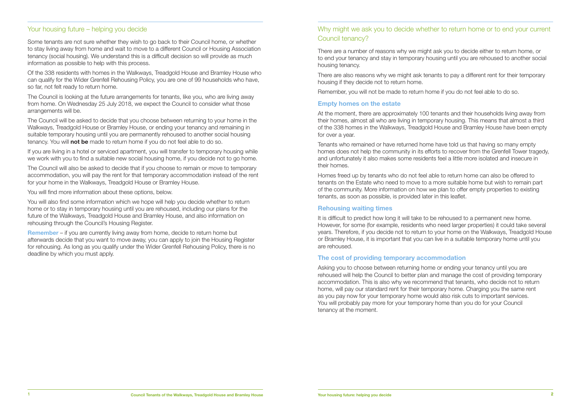#### Your housing future – helping you decide

Some tenants are not sure whether they wish to go back to their Council home, or whether to stay living away from home and wait to move to a different Council or Housing Association tenancy (social housing). We understand this is a difficult decision so will provide as much information as possible to help with this process.

Of the 338 residents with homes in the Walkways, Treadgold House and Bramley House who can qualify for the Wider Grenfell Rehousing Policy, you are one of 99 households who have, so far, not felt ready to return home.

The Council is looking at the future arrangements for tenants, like you, who are living away from home. On Wednesday 25 July 2018, we expect the Council to consider what those arrangements will be.

The Council will be asked to decide that you choose between returning to your home in the Walkways, Treadgold House or Bramley House, or ending your tenancy and remaining in suitable temporary housing until you are permanently rehoused to another social housing tenancy. You will **not be** made to return home if you do not feel able to do so.

**Remember** – if you are currently living away from home, decide to return home but afterwards decide that you want to move away, you can apply to join the Housing Register for rehousing. As long as you qualify under the Wider Grenfell Rehousing Policy, there is no deadline by which you must apply.

If you are living in a hotel or serviced apartment, you will transfer to temporary housing while we work with you to find a suitable new social housing home, if you decide not to go home.

The Council will also be asked to decide that if you choose to remain or move to temporary accommodation, you will pay the rent for that temporary accommodation instead of the rent for your home in the Walkways, Treadgold House or Bramley House.

You will find more information about these options, below.

You will also find some information which we hope will help you decide whether to return home or to stay in temporary housing until you are rehoused, including our plans for the future of the Walkways, Treadgold House and Bramley House, and also information on rehousing through the Council's Housing Register.

It is difficult to predict how long it will take to be rehoused to a permanent new home. However, for some (for example, residents who need larger properties) it could take several years. Therefore, if you decide not to return to your home on the Walkways, Treadgold House or Bramley House, it is important that you can live in a suitable temporary home until you are rehoused.

#### Why might we ask you to decide whether to return home or to end your current Council tenancy?

There are a number of reasons why we might ask you to decide either to return home, or to end your tenancy and stay in temporary housing until you are rehoused to another social housing tenancy.

There are also reasons why we might ask tenants to pay a different rent for their temporary housing if they decide not to return home.

Remember, you will not be made to return home if you do not feel able to do so.

#### **Empty homes on the estate**

At the moment, there are approximately 100 tenants and their households living away from their homes, almost all who are living in temporary housing. This means that almost a third of the 338 homes in the Walkways, Treadgold House and Bramley House have been empty for over a year.

Tenants who remained or have returned home have told us that having so many empty homes does not help the community in its efforts to recover from the Grenfell Tower tragedy, and unfortunately it also makes some residents feel a little more isolated and insecure in their homes.

Homes freed up by tenants who do not feel able to return home can also be offered to tenants on the Estate who need to move to a more suitable home but wish to remain part of the community. More information on how we plan to offer empty properties to existing tenants, as soon as possible, is provided later in this leaflet.

#### **Rehousing waiting times**

#### **The cost of providing temporary accommodation**

Asking you to choose between returning home or ending your tenancy until you are rehoused will help the Council to better plan and manage the cost of providing temporary accommodation. This is also why we recommend that tenants, who decide not to return home, will pay our standard rent for their temporary home. Charging you the same rent as you pay now for your temporary home would also risk cuts to important services. You will probably pay more for your temporary home than you do for your Council tenancy at the moment.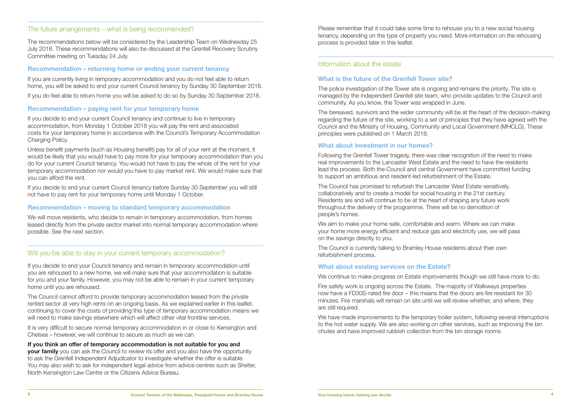#### The future arrangements – what is being recommended?

The recommendations below will be considered by the Leadership Team on Wednesday 25 July 2018. These recommendations will also be discussed at the Grenfell Recovery Scrutiny Committee meeting on Tuesday 24 July.

#### **Recommendation – returning home or ending your current tenancy**

If you are currently living in temporary accommodation and you do not feel able to return home, you will be asked to end your current Council tenancy by Sunday 30 September 2018.

If you do feel able to return home you will be asked to do so by Sunday 30 September 2018.

#### **Recommendation – paying rent for your temporary home**

If you decide to end your current Council tenancy and continue to live in temporary accommodation, from Monday 1 October 2018 you will pay the rent and associated costs for your temporary home in accordance with the Council's Temporary Accommodation Charging Policy.

The Council cannot afford to provide temporary accommodation leased from the private rented sector at very high rents on an ongoing basis. As we explained earlier in this leaflet, continuing to cover the costs of providing this type of temporary accommodation means we will need to make savings elsewhere which will affect other vital frontline services.

Unless benefit payments (such as Housing benefit) pay for all of your rent at the moment, it would be likely that you would have to pay more for your temporary accommodation than you do for your current Council tenancy. You would not have to pay the whole of the rent for your temporary accommodation nor would you have to pay market rent. We would make sure that you can afford the rent.

If you decide to end your current Council tenancy before Sunday 30 September you will still not have to pay rent for your temporary home until Monday 1 October.

**your family** you can ask the Council to review its offer and you also have the opportunity to ask the Grenfell Independent Adjudicator to investigate whether the offer is suitable. You may also wish to ask for independent legal advice from advice centres such as Shelter, North Kensington Law Centre or the Citizens Advice Bureau.

#### **Recommendation – moving to standard temporary accommodation**

We will move residents, who decide to remain in temporary accommodation, from homes leased directly from the private sector market into normal temporary accommodation where possible. See the next section.

#### Will you be able to stay in your current temporary accommodation?

If you decide to end your Council tenancy and remain in temporary accommodation until you are rehoused to a new home, we will make sure that your accommodation is suitable for you and your family. However, you may not be able to remain in your current temporary home until you are rehoused.

It is very difficult to secure normal temporary accommodation in or close to Kensington and Chelsea – however, we will continue to secure as much as we can.

#### **If you think an offer of temporary accommodation is not suitable for you and**

We have made improvements to the temporary boiler system, following several interruptions to the hot water supply. We are also working on other services, such as improving the bin chutes and have improved rubbish collection from the bin storage rooms.

Please remember that it could take some time to rehouse you to a new social housing tenancy, depending on the type of property you need. More information on the rehousing process is provided later in this leaflet.

#### Information about the estate

#### **What is the future of the Grenfell Tower site?**

The police investigation of the Tower site is ongoing and remains the priority. The site is managed by the independent Grenfell site team, who provide updates to the Council and community. As you know, the Tower was wrapped in June.

The bereaved, survivors and the wider community will be at the heart of the decision-making regarding the future of the site, working to a set of principles that they have agreed with the Council and the Ministry of Housing, Community and Local Government (MHCLG). These principles were published on 1 March 2018.

#### **What about investment in our homes?**

Following the Grenfell Tower tragedy, there was clear recognition of the need to make real improvements to the Lancaster West Estate and the need to have the residents lead the process. Both the Council and central Government have committed funding to support an ambitious and resident-led refurbishment of the Estate.

The Council has promised to refurbish the Lancaster West Estate sensitively, collaboratively and to create a model for social housing in the 21st century. Residents are and will continue to be at the heart of shaping any future work throughout the delivery of the programme. There will be no demolition of people's homes.

We aim to make your home safe, comfortable and warm. Where we can make your home more energy efficient and reduce gas and electricity use, we will pass on the savings directly to you.

The Council is currently talking to Bramley House residents about their own refurbishment process.

#### **What about existing services on the Estate?**

We continue to make progress on Estate improvements though we still have more to do.

Fire safety work is ongoing across the Estate. The majority of Walkways properties now have a FD30S-rated fire door – this means that the doors are fire resistant for 30 minutes. Fire marshals will remain on site until we will review whether, and where, they are still required.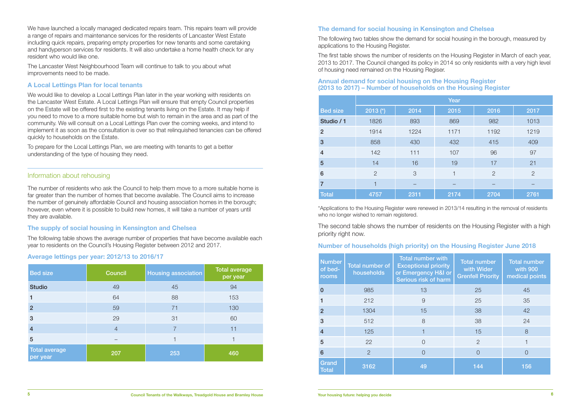We have launched a locally managed dedicated repairs team. This repairs team will provide a range of repairs and maintenance services for the residents of Lancaster West Estate including quick repairs, preparing empty properties for new tenants and some caretaking and handyperson services for residents. It will also undertake a home health check for any resident who would like one.

The Lancaster West Neighbourhood Team will continue to talk to you about what improvements need to be made.

#### **A Local Lettings Plan for local tenants**

We would like to develop a Local Lettings Plan later in the year working with residents on the Lancaster West Estate. A Local Lettings Plan will ensure that empty Council properties on the Estate will be offered first to the existing tenants living on the Estate. It may help if you need to move to a more suitable home but wish to remain in the area and as part of the community. We will consult on a Local Lettings Plan over the coming weeks, and intend to implement it as soon as the consultation is over so that relinquished tenancies can be offered quickly to households on the Estate.

To prepare for the Local Lettings Plan, we are meeting with tenants to get a better understanding of the type of housing they need.

#### Information about rehousing

The number of residents who ask the Council to help them move to a more suitable home is far greater than the number of homes that become available. The Council aims to increase the number of genuinely affordable Council and housing association homes in the borough; however, even where it is possible to build new homes, it will take a number of years until they are available.

#### **The supply of social housing in Kensington and Chelsea**

The following table shows the average number of properties that have become available each year to residents on the Council's Housing Register between 2012 and 2017.

#### **Average lettings per year: 2012/13 to 2016/17**

| <b>Bed size</b>                  | <b>Council</b> | <b>Housing association</b> | <b>Total average</b><br>per year |
|----------------------------------|----------------|----------------------------|----------------------------------|
| <b>Studio</b>                    | 49             | 45                         | 94                               |
|                                  | 64             | 88                         | 153                              |
| $\overline{2}$                   | 59             | 71                         | 130                              |
| 3                                | 29             | 31                         | 60                               |
| $\overline{4}$                   | $\overline{4}$ | 7                          | 11                               |
| 5                                |                |                            |                                  |
| <b>Total average</b><br>per year | 207            | 253                        | 460                              |

#### **The demand for social housing in Kensington and Chelsea**

The following two tables show the demand for social housing in the borough, measured by applications to the Housing Register.

The first table shows the number of residents on the Housing Register in March of each year, 2013 to 2017. The Council changed its policy in 2014 so only residents with a very high level of housing need remained on the Housing Regiser.

#### **Annual demand for social housing on the Housing Register (2013 to 2017) – Number of households on the Housing Register**

| $\sim$ To to $\sim$ The Frammer of HouseHolds on the Housing Hegister |                |      |      |                |                |
|-----------------------------------------------------------------------|----------------|------|------|----------------|----------------|
|                                                                       | Year           |      |      |                |                |
| <b>Bed size</b>                                                       | 2013 $(*)$     | 2014 | 2015 | 2016           | 2017           |
| Studio / 1                                                            | 1826           | 893  | 869  | 982            | 1013           |
| 2 <sup>1</sup>                                                        | 1914           | 1224 | 1171 | 1192           | 1219           |
| 3                                                                     | 858            | 430  | 432  | 415            | 409            |
| $\overline{\mathbf{4}}$                                               | 142            | 111  | 107  | 96             | 97             |
| 5                                                                     | 14             | 16   | 19   | 17             | 21             |
| 6                                                                     | $\overline{2}$ | 3    | 1    | $\overline{2}$ | $\overline{2}$ |
| $\overline{7}$                                                        |                |      |      |                |                |
| <b>Total</b>                                                          | 4757           | 2311 | 2174 | 2704           | 2761           |

\*Applications to the Housing Register were renewed in 2013/14 resulting in the removal of residents who no longer wished to remain registered.

The second table shows the number of residents on the Housing Register with a high priority right now.

#### **Number of households (high priority) on the Housing Register June 2018**

| <b>Number</b><br>of bed-<br>rooms | <b>Total number of</b><br>households | <b>Total number with</b><br><b>Exceptional priority</b><br>or Emergency H&I or<br>Serious risk of harm | <b>Total number</b><br>with Wider<br><b>Grenfell Priority</b> | <b>Total number</b><br>with 900<br>medical points |
|-----------------------------------|--------------------------------------|--------------------------------------------------------------------------------------------------------|---------------------------------------------------------------|---------------------------------------------------|
| $\mathbf{0}$                      | 985                                  | 13                                                                                                     | 25                                                            | 45                                                |
|                                   | 212                                  | 9                                                                                                      | 25                                                            | 35                                                |
| $\overline{2}$                    | 1304                                 | 15                                                                                                     | 38                                                            | 42                                                |
| 3                                 | 512                                  | 8                                                                                                      | 38                                                            | 24                                                |
| $\overline{4}$                    | 125                                  |                                                                                                        | 15                                                            | 8                                                 |
| 5                                 | 22                                   | ∩                                                                                                      | $\overline{2}$                                                |                                                   |
| 6                                 | $\overline{2}$                       | $\bigcap$                                                                                              | $\bigcap$                                                     | $\left( \ \right)$                                |
| Grand<br><b>Total</b>             | 3162                                 | 49                                                                                                     | 144                                                           | 156                                               |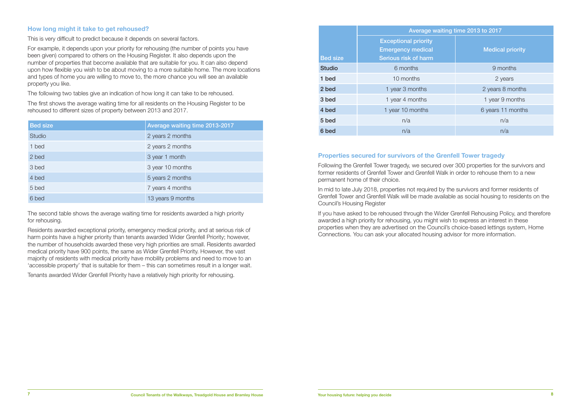#### **How long might it take to get rehoused?**

This is very difficult to predict because it depends on several factors.

For example, it depends upon your priority for rehousing (the number of points you have been given) compared to others on the Housing Register. It also depends upon the number of properties that become available that are suitable for you. It can also depend upon how flexible you wish to be about moving to a more suitable home. The more locations and types of home you are willing to move to, the more chance you will see an available property you like.

The following two tables give an indication of how long it can take to be rehoused.

The first shows the average waiting time for all residents on the Housing Register to be rehoused to different sizes of property between 2013 and 2017.

| <b>Bed size</b> | Average waiting time 2013-2017 |
|-----------------|--------------------------------|
| <b>Studio</b>   | 2 years 2 months               |
| 1 bed           | 2 years 2 months               |
| 2 bed           | 3 year 1 month                 |
| 3 bed           | 3 year 10 months               |
| 4 bed           | 5 years 2 months               |
| 5 bed           | 7 years 4 months               |
| 6 bed           | 13 years 9 months              |

The second table shows the average waiting time for residents awarded a high priority for rehousing.

Residents awarded exceptional priority, emergency medical priority, and at serious risk of harm points have a higher priority than tenants awarded Wider Grenfell Priority; however, the number of households awarded these very high priorities are small. Residents awarded medical priority have 900 points, the same as Wider Grenfell Priority. However, the vast majority of residents with medical priority have mobility problems and need to move to an 'accessible property' that is suitable for them – this can sometimes result in a longer wait.

Tenants awarded Wider Grenfell Priority have a relatively high priority for rehousing.

|                 | Average waiting time 2013 to 2017                                               |                         |  |
|-----------------|---------------------------------------------------------------------------------|-------------------------|--|
| <b>Bed size</b> | <b>Exceptional priority</b><br><b>Emergency medical</b><br>Serious risk of harm | <b>Medical priority</b> |  |
| <b>Studio</b>   | 6 months                                                                        | 9 months                |  |
| 1 bed           | 10 months                                                                       | 2 years                 |  |
| 2 bed           | 1 year 3 months                                                                 | 2 years 8 months        |  |
| 3 bed           | 1 year 4 months                                                                 | 1 year 9 months         |  |
| 4 bed           | 1 year 10 months                                                                | 6 years 11 months       |  |
| 5 bed           | n/a                                                                             | n/a                     |  |
| 6 bed           | n/a                                                                             | n/a                     |  |

#### **Properties secured for survivors of the Grenfell Tower tragedy**

Following the Grenfell Tower tragedy, we secured over 300 properties for the survivors and former residents of Grenfell Tower and Grenfell Walk in order to rehouse them to a new permanent home of their choice.

In mid to late July 2018, properties not required by the survivors and former residents of Grenfell Tower and Grenfell Walk will be made available as social housing to residents on the Council's Housing Register

If you have asked to be rehoused through the Wider Grenfell Rehousing Policy, and therefore awarded a high priority for rehousing, you might wish to express an interest in these properties when they are advertised on the Council's choice-based lettings system, Home Connections. You can ask your allocated housing advisor for more information.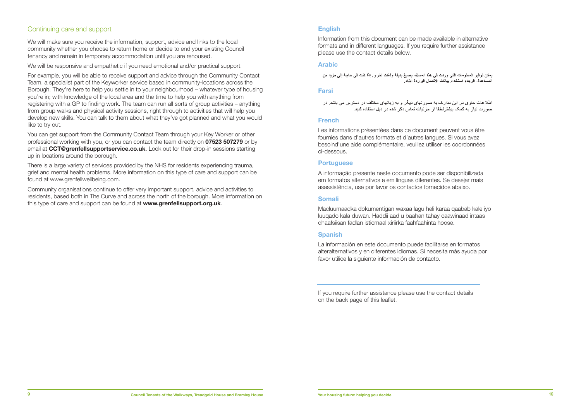#### Continuing care and support

We will make sure you receive the information, support, advice and links to the local community whether you choose to return home or decide to end your existing Council tenancy and remain in temporary accommodation until you are rehoused.

We will be responsive and empathetic if you need emotional and/or practical support.

For example, you will be able to receive support and advice through the Community Contact Team, a specialist part of the Keyworker service based in community-locations across the Borough. They're here to help you settle in to your neighbourhood – whatever type of housing you're in; with knowledge of the local area and the time to help you with anything from registering with a GP to finding work. The team can run all sorts of group activities – anything from group walks and physical activity sessions, right through to activities that will help you develop new skills. You can talk to them about what they've got planned and what you would like to try out.

> A informação presente neste documento pode ser disponibilizada em formatos alternativos e em línguas diferentes. Se desejar mais asassistência, use por favor os contactos fornecidos abaixo.

#### **Somali Somali**  domali waxaa lagu heli karaa qaabab kale iyo dhacdaa lagu heli karaa qaabab kale iyo dhacdaa qaabab kale iyo dh  $\mathsf{om}$ adka dokumentigan waxaa lagu heli karaa qaabab kale iyo dokumentigan waxaa lagu heli karaa qaabab kale

You can get support from the Community Contact Team through your Key Worker or other professional working with you, or you can contact the team directly on **07523 507279** or by email at **CCT@grenfellsupportservice.co.uk**. Look out for their drop-in sessions starting up in locations around the borough.

#### **Spanish** La información en este documento puede facilitarse en formatos alter-**Danish en este documento puede facilitarse en formatos alter-**

La información en este documento puede facilitarse en formatos alteralternativos y en diferentes idiomas. Si necesita más ayuda por favor utilice la siguiente información de contacto.

There is a large variety of services provided by the NHS for residents experiencing trauma, grief and mental health problems. More information on this type of care and support can be found at www.grenfellwellbeing.com.

Community organisations continue to offer very important support, advice and activities to residents, based both in The Curve and across the north of the borough. More information on this type of care and support can be found at **www.grenfellsupport.org.uk**.

Macluumaadka dokumentigan waxaa lagu heli karaa qaabab kale iyo luuqado kala duwan. Haddii aad u baahan tahay caawinaad intaas dhaafsiisan fadlan isticmaal xiriirka faahfaahinta hoose. **Spanish**

### **English English English**

Information from this document can be made available in alternative Information from this document can be made available in alternative Information from this document can be made available in alternative formats and in different languages. If you require further assistance please use the contact details below. please use the contact details below. please use the contact details below.

## **Arabic Arabic Arabic**

يمكن توفير المعلومات التي وردت في هذا المستند بصبغ بديلة ولغات اخرى. إذا كنت في حاجة إلى مزيد من ء - ت ت تركيب .<br>المساعدة، الرجاء استخدام بيانات الاتصال الواردة أدناه.

# **Farsi Farsi Farsi**

```
اطلاعات حاوی در این مدارک به صورتهای دیگر و به زبانهای مختلف در دسترس می باشد. در
   صورت نیاز به کمک بیشتر لطفا از جزئیات تماس ذکر شده در ذیل استفاده کنید.
```
#### **French French French**

Les informations présentées dans ce document peuvent vous être Les informations présentées dansce document peuvent vous être Les informations présentées dansce document peuvent vous être fournies dans d'autres formats et d'autres langues. Si vous avez besoind'une aide complémentaire, veuillez utiliser les coordonnées ci-dessous. **Portuguese**

#### **Portuguese** A informação presente neste documento pode ser disponibilizada em A informação presente neste documento pode ser disponibilizada em

If you require further assistance please use the contact details on the back page of this leaflet.